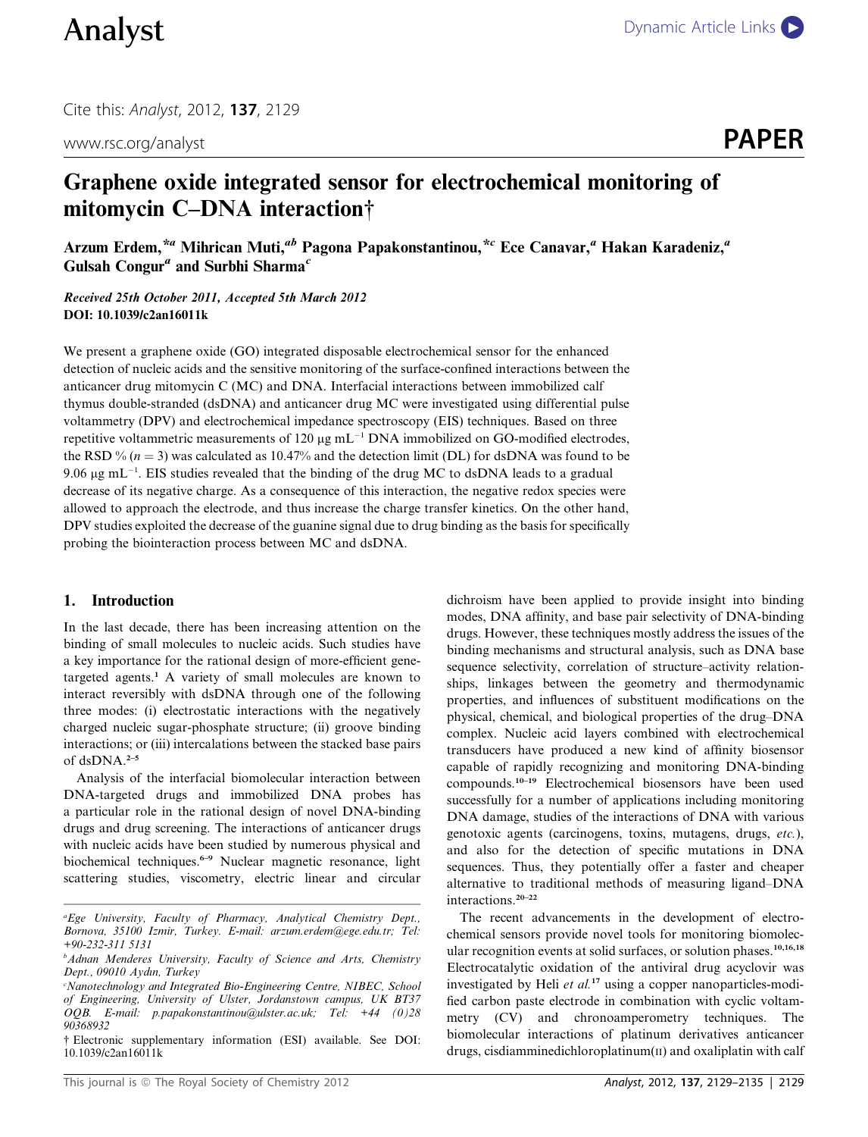www.rsc.org/analyst **PAPER** 

# Graphene oxide integrated sensor for electrochemical monitoring of mitomycin C–DNA interaction†

Arzum Erdem,<sup>\*a</sup> Mihrican Muti,<sup>ab</sup> Pagona Papakonstantinou,<sup>\*c</sup> Ece Canavar,<sup>a</sup> Hakan Karadeniz,<sup>a</sup> Gulsah Congur<sup>a</sup> and Surbhi Sharma<sup>c</sup>

Received 25th October 2011, Accepted 5th March 2012 DOI: 10.1039/c2an16011k

We present a graphene oxide (GO) integrated disposable electrochemical sensor for the enhanced detection of nucleic acids and the sensitive monitoring of the surface-confined interactions between the anticancer drug mitomycin C (MC) and DNA. Interfacial interactions between immobilized calf thymus double-stranded (dsDNA) and anticancer drug MC were investigated using differential pulse voltammetry (DPV) and electrochemical impedance spectroscopy (EIS) techniques. Based on three repetitive voltammetric measurements of 120  $\mu$ g mL<sup>-1</sup> DNA immobilized on GO-modified electrodes, the RSD %  $(n = 3)$  was calculated as 10.47% and the detection limit (DL) for dsDNA was found to be 9.06  $\mu$ g mL<sup>-1</sup>. EIS studies revealed that the binding of the drug MC to dsDNA leads to a gradual decrease of its negative charge. As a consequence of this interaction, the negative redox species were allowed to approach the electrode, and thus increase the charge transfer kinetics. On the other hand, DPV studies exploited the decrease of the guanine signal due to drug binding as the basis for specifically probing the biointeraction process between MC and dsDNA.

## 1. Introduction

In the last decade, there has been increasing attention on the binding of small molecules to nucleic acids. Such studies have a key importance for the rational design of more-efficient genetargeted agents.<sup>1</sup> A variety of small molecules are known to interact reversibly with dsDNA through one of the following three modes: (i) electrostatic interactions with the negatively charged nucleic sugar-phosphate structure; (ii) groove binding interactions; or (iii) intercalations between the stacked base pairs of dsDNA.<sup>2-5</sup>

Analysis of the interfacial biomolecular interaction between DNA-targeted drugs and immobilized DNA probes has a particular role in the rational design of novel DNA-binding drugs and drug screening. The interactions of anticancer drugs with nucleic acids have been studied by numerous physical and biochemical techniques.6–9 Nuclear magnetic resonance, light scattering studies, viscometry, electric linear and circular dichroism have been applied to provide insight into binding modes, DNA affinity, and base pair selectivity of DNA-binding drugs. However, these techniques mostly address the issues of the binding mechanisms and structural analysis, such as DNA base sequence selectivity, correlation of structure–activity relationships, linkages between the geometry and thermodynamic properties, and influences of substituent modifications on the physical, chemical, and biological properties of the drug–DNA complex. Nucleic acid layers combined with electrochemical transducers have produced a new kind of affinity biosensor capable of rapidly recognizing and monitoring DNA-binding compounds.10–19 Electrochemical biosensors have been used successfully for a number of applications including monitoring DNA damage, studies of the interactions of DNA with various genotoxic agents (carcinogens, toxins, mutagens, drugs, etc.), and also for the detection of specific mutations in DNA sequences. Thus, they potentially offer a faster and cheaper alternative to traditional methods of measuring ligand–DNA interactions.20–22

The recent advancements in the development of electrochemical sensors provide novel tools for monitoring biomolecular recognition events at solid surfaces, or solution phases.<sup>10,16,18</sup> Electrocatalytic oxidation of the antiviral drug acyclovir was investigated by Heli  $et$   $al$ .<sup>17</sup> using a copper nanoparticles-modified carbon paste electrode in combination with cyclic voltammetry (CV) and chronoamperometry techniques. The biomolecular interactions of platinum derivatives anticancer drugs, cisdiamminedichloroplatinum(II) and oxaliplatin with calf

a Ege University, Faculty of Pharmacy, Analytical Chemistry Dept., Bornova, 35100 Izmir, Turkey. E-mail: arzum.erdem@ege.edu.tr; Tel: +90-232-311 5131

<sup>&</sup>lt;sup>b</sup>Adnan Menderes University, Faculty of Science and Arts, Chemistry Dept., 09010 Aydın, Turkey

<sup>&</sup>lt;sup>c</sup>Nanotechnology and Integrated Bio-Engineering Centre, NIBEC, School of Engineering, University of Ulster, Jordanstown campus, UK BT37 OQB. E-mail: p.papakonstantinou@ulster.ac.uk; Tel: +44 (0)28 90368932

<sup>†</sup> Electronic supplementary information (ESI) available. See DOI: 10.1039/c2an16011k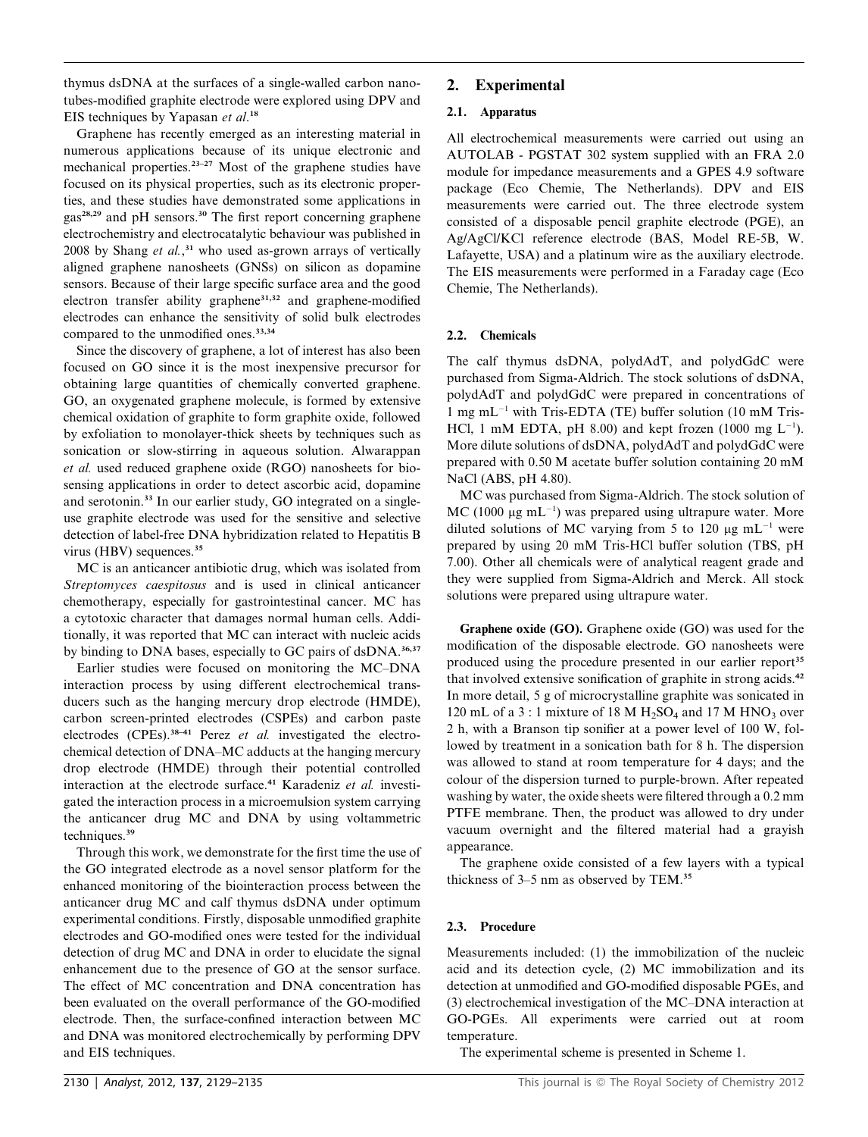thymus dsDNA at the surfaces of a single-walled carbon nanotubes-modified graphite electrode were explored using DPV and EIS techniques by Yapasan et al.<sup>18</sup>

Graphene has recently emerged as an interesting material in numerous applications because of its unique electronic and mechanical properties.23–27 Most of the graphene studies have focused on its physical properties, such as its electronic properties, and these studies have demonstrated some applications in gas<sup>28,29</sup> and pH sensors.<sup>30</sup> The first report concerning graphene electrochemistry and electrocatalytic behaviour was published in 2008 by Shang et al.,<sup>31</sup> who used as-grown arrays of vertically aligned graphene nanosheets (GNSs) on silicon as dopamine sensors. Because of their large specific surface area and the good electron transfer ability graphene<sup>31,32</sup> and graphene-modified electrodes can enhance the sensitivity of solid bulk electrodes compared to the unmodified ones.<sup>33,34</sup>

Since the discovery of graphene, a lot of interest has also been focused on GO since it is the most inexpensive precursor for obtaining large quantities of chemically converted graphene. GO, an oxygenated graphene molecule, is formed by extensive chemical oxidation of graphite to form graphite oxide, followed by exfoliation to monolayer-thick sheets by techniques such as sonication or slow-stirring in aqueous solution. Alwarappan et al. used reduced graphene oxide (RGO) nanosheets for biosensing applications in order to detect ascorbic acid, dopamine and serotonin.<sup>33</sup> In our earlier study, GO integrated on a singleuse graphite electrode was used for the sensitive and selective detection of label-free DNA hybridization related to Hepatitis B virus (HBV) sequences.<sup>35</sup>

MC is an anticancer antibiotic drug, which was isolated from Streptomyces caespitosus and is used in clinical anticancer chemotherapy, especially for gastrointestinal cancer. MC has a cytotoxic character that damages normal human cells. Additionally, it was reported that MC can interact with nucleic acids by binding to DNA bases, especially to GC pairs of dsDNA.<sup>36,37</sup>

Earlier studies were focused on monitoring the MC–DNA interaction process by using different electrochemical transducers such as the hanging mercury drop electrode (HMDE), carbon screen-printed electrodes (CSPEs) and carbon paste electrodes (CPEs).<sup>38-41</sup> Perez et al. investigated the electrochemical detection of DNA–MC adducts at the hanging mercury drop electrode (HMDE) through their potential controlled interaction at the electrode surface.<sup>41</sup> Karadeniz et al. investigated the interaction process in a microemulsion system carrying the anticancer drug MC and DNA by using voltammetric techniques.<sup>39</sup>

Through this work, we demonstrate for the first time the use of the GO integrated electrode as a novel sensor platform for the enhanced monitoring of the biointeraction process between the anticancer drug MC and calf thymus dsDNA under optimum experimental conditions. Firstly, disposable unmodified graphite electrodes and GO-modified ones were tested for the individual detection of drug MC and DNA in order to elucidate the signal enhancement due to the presence of GO at the sensor surface. The effect of MC concentration and DNA concentration has been evaluated on the overall performance of the GO-modified electrode. Then, the surface-confined interaction between MC and DNA was monitored electrochemically by performing DPV and EIS techniques.

## 2. Experimental

### 2.1. Apparatus

All electrochemical measurements were carried out using an AUTOLAB - PGSTAT 302 system supplied with an FRA 2.0 module for impedance measurements and a GPES 4.9 software package (Eco Chemie, The Netherlands). DPV and EIS measurements were carried out. The three electrode system consisted of a disposable pencil graphite electrode (PGE), an Ag/AgCl/KCl reference electrode (BAS, Model RE-5B, W. Lafayette, USA) and a platinum wire as the auxiliary electrode. The EIS measurements were performed in a Faraday cage (Eco Chemie, The Netherlands).

## 2.2. Chemicals

The calf thymus dsDNA, polydAdT, and polydGdC were purchased from Sigma-Aldrich. The stock solutions of dsDNA, polydAdT and polydGdC were prepared in concentrations of 1 mg mL $^{-1}$  with Tris-EDTA (TE) buffer solution (10 mM Tris-HCl, 1 mM EDTA, pH 8.00) and kept frozen (1000 mg  $L^{-1}$ ). More dilute solutions of dsDNA, polydAdT and polydGdC were prepared with 0.50 M acetate buffer solution containing 20 mM NaCl (ABS, pH 4.80).

MC was purchased from Sigma-Aldrich. The stock solution of MC (1000  $\mu$ g mL<sup>-1</sup>) was prepared using ultrapure water. More diluted solutions of MC varying from 5 to 120  $\mu$ g mL<sup>-1</sup> were prepared by using 20 mM Tris-HCl buffer solution (TBS, pH 7.00). Other all chemicals were of analytical reagent grade and they were supplied from Sigma-Aldrich and Merck. All stock solutions were prepared using ultrapure water.

Graphene oxide (GO). Graphene oxide (GO) was used for the modification of the disposable electrode. GO nanosheets were produced using the procedure presented in our earlier report<sup>35</sup> that involved extensive sonification of graphite in strong acids.<sup>42</sup> In more detail, 5 g of microcrystalline graphite was sonicated in 120 mL of a 3 : 1 mixture of 18 M  $H_2SO_4$  and 17 M  $HNO_3$  over 2 h, with a Branson tip sonifier at a power level of 100 W, followed by treatment in a sonication bath for 8 h. The dispersion was allowed to stand at room temperature for 4 days; and the colour of the dispersion turned to purple-brown. After repeated washing by water, the oxide sheets were filtered through a 0.2 mm PTFE membrane. Then, the product was allowed to dry under vacuum overnight and the filtered material had a grayish appearance.

The graphene oxide consisted of a few layers with a typical thickness of 3–5 nm as observed by TEM.<sup>35</sup>

## 2.3. Procedure

Measurements included: (1) the immobilization of the nucleic acid and its detection cycle, (2) MC immobilization and its detection at unmodified and GO-modified disposable PGEs, and (3) electrochemical investigation of the MC–DNA interaction at GO-PGEs. All experiments were carried out at room temperature.

The experimental scheme is presented in Scheme 1.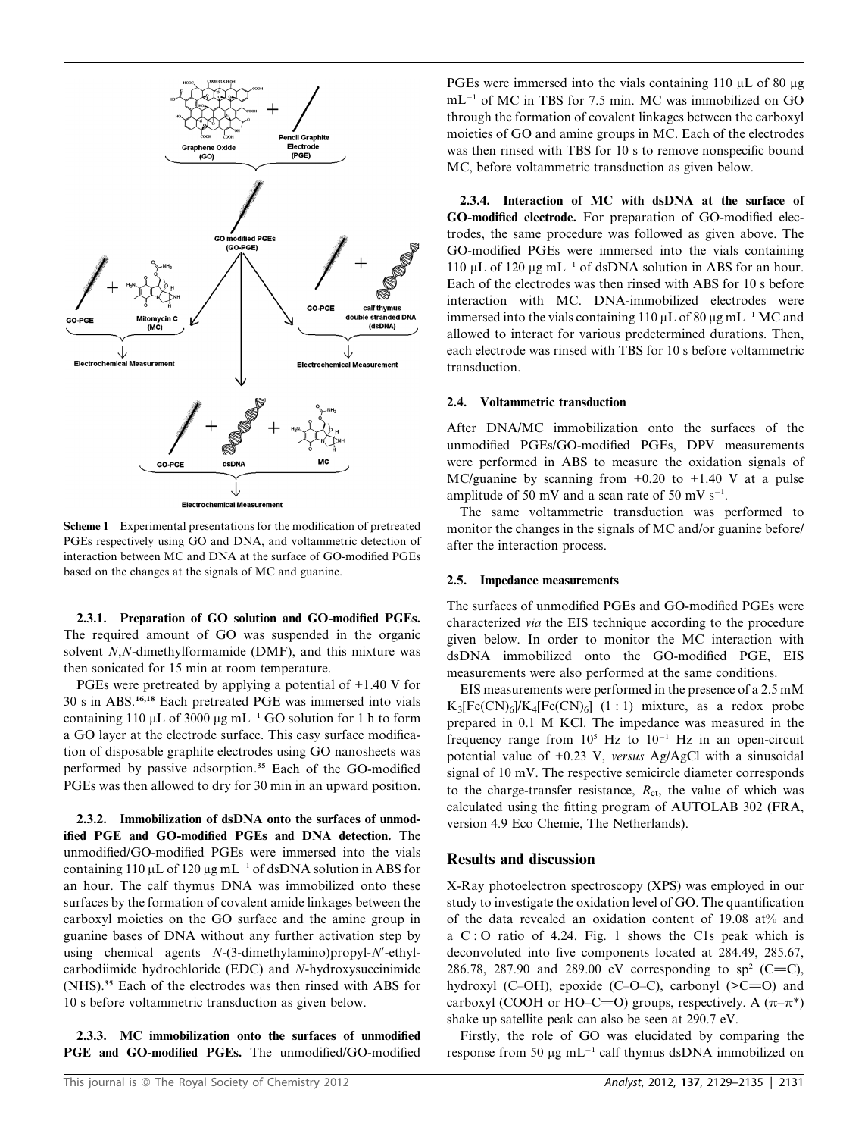

Scheme 1 Experimental presentations for the modification of pretreated PGEs respectively using GO and DNA, and voltammetric detection of interaction between MC and DNA at the surface of GO-modified PGEs based on the changes at the signals of MC and guanine.

2.3.1. Preparation of GO solution and GO-modified PGEs. The required amount of GO was suspended in the organic solvent N,N-dimethylformamide (DMF), and this mixture was then sonicated for 15 min at room temperature.

PGEs were pretreated by applying a potential of +1.40 V for 30 s in ABS.16,18 Each pretreated PGE was immersed into vials containing 110  $\mu$ L of 3000  $\mu$ g mL<sup>-1</sup> GO solution for 1 h to form a GO layer at the electrode surface. This easy surface modification of disposable graphite electrodes using GO nanosheets was performed by passive adsorption.<sup>35</sup> Each of the GO-modified PGEs was then allowed to dry for 30 min in an upward position.

2.3.2. Immobilization of dsDNA onto the surfaces of unmodified PGE and GO-modified PGEs and DNA detection. The unmodified/GO-modified PGEs were immersed into the vials containing 110  $\mu$ L of 120  $\mu$ g mL<sup>-1</sup> of dsDNA solution in ABS for an hour. The calf thymus DNA was immobilized onto these surfaces by the formation of covalent amide linkages between the carboxyl moieties on the GO surface and the amine group in guanine bases of DNA without any further activation step by using chemical agents  $N-(3$ -dimethylamino)propyl- $N'$ -ethylcarbodiimide hydrochloride (EDC) and N-hydroxysuccinimide (NHS).<sup>35</sup> Each of the electrodes was then rinsed with ABS for 10 s before voltammetric transduction as given below.

2.3.3. MC immobilization onto the surfaces of unmodified PGE and GO-modified PGEs. The unmodified/GO-modified

PGEs were immersed into the vials containing 110  $\mu$ L of 80  $\mu$ g  $mL^{-1}$  of MC in TBS for 7.5 min. MC was immobilized on GO through the formation of covalent linkages between the carboxyl moieties of GO and amine groups in MC. Each of the electrodes was then rinsed with TBS for 10 s to remove nonspecific bound MC, before voltammetric transduction as given below.

2.3.4. Interaction of MC with dsDNA at the surface of GO-modified electrode. For preparation of GO-modified electrodes, the same procedure was followed as given above. The GO-modified PGEs were immersed into the vials containing 110  $\mu$ L of 120  $\mu$ g mL<sup>-1</sup> of dsDNA solution in ABS for an hour. Each of the electrodes was then rinsed with ABS for 10 s before interaction with MC. DNA-immobilized electrodes were immersed into the vials containing 110  $\mu$ L of 80  $\mu$ g mL<sup>-1</sup> MC and allowed to interact for various predetermined durations. Then, each electrode was rinsed with TBS for 10 s before voltammetric transduction.

#### 2.4. Voltammetric transduction

After DNA/MC immobilization onto the surfaces of the unmodified PGEs/GO-modified PGEs, DPV measurements were performed in ABS to measure the oxidation signals of MC/guanine by scanning from  $+0.20$  to  $+1.40$  V at a pulse amplitude of 50 mV and a scan rate of 50 mV  $s^{-1}$ .

The same voltammetric transduction was performed to monitor the changes in the signals of MC and/or guanine before/ after the interaction process.

#### 2.5. Impedance measurements

The surfaces of unmodified PGEs and GO-modified PGEs were characterized via the EIS technique according to the procedure given below. In order to monitor the MC interaction with dsDNA immobilized onto the GO-modified PGE, EIS measurements were also performed at the same conditions.

EIS measurements were performed in the presence of a 2.5 mM  $K_3[Fe(CN)_6]/K_4[Fe(CN)_6]$  (1 : 1) mixture, as a redox probe prepared in 0.1 M KCl. The impedance was measured in the frequency range from  $10^5$  Hz to  $10^{-1}$  Hz in an open-circuit potential value of +0.23 V, versus Ag/AgCl with a sinusoidal signal of 10 mV. The respective semicircle diameter corresponds to the charge-transfer resistance,  $R_{\text{ct}}$ , the value of which was calculated using the fitting program of AUTOLAB 302 (FRA, version 4.9 Eco Chemie, The Netherlands).

## Results and discussion

X-Ray photoelectron spectroscopy (XPS) was employed in our study to investigate the oxidation level of GO. The quantification of the data revealed an oxidation content of 19.08 at% and a C : O ratio of 4.24. Fig. 1 shows the C1s peak which is deconvoluted into five components located at 284.49, 285.67, 286.78, 287.90 and 289.00 eV corresponding to sp<sup>2</sup> (C=C), hydroxyl (C–OH), epoxide (C–O–C), carbonyl  $(>=0)$  and carboxyl (COOH or HO–C=O) groups, respectively. A  $(\pi-\pi^*)$ shake up satellite peak can also be seen at 290.7 eV.

Firstly, the role of GO was elucidated by comparing the response from 50  $\mu$ g mL<sup>-1</sup> calf thymus dsDNA immobilized on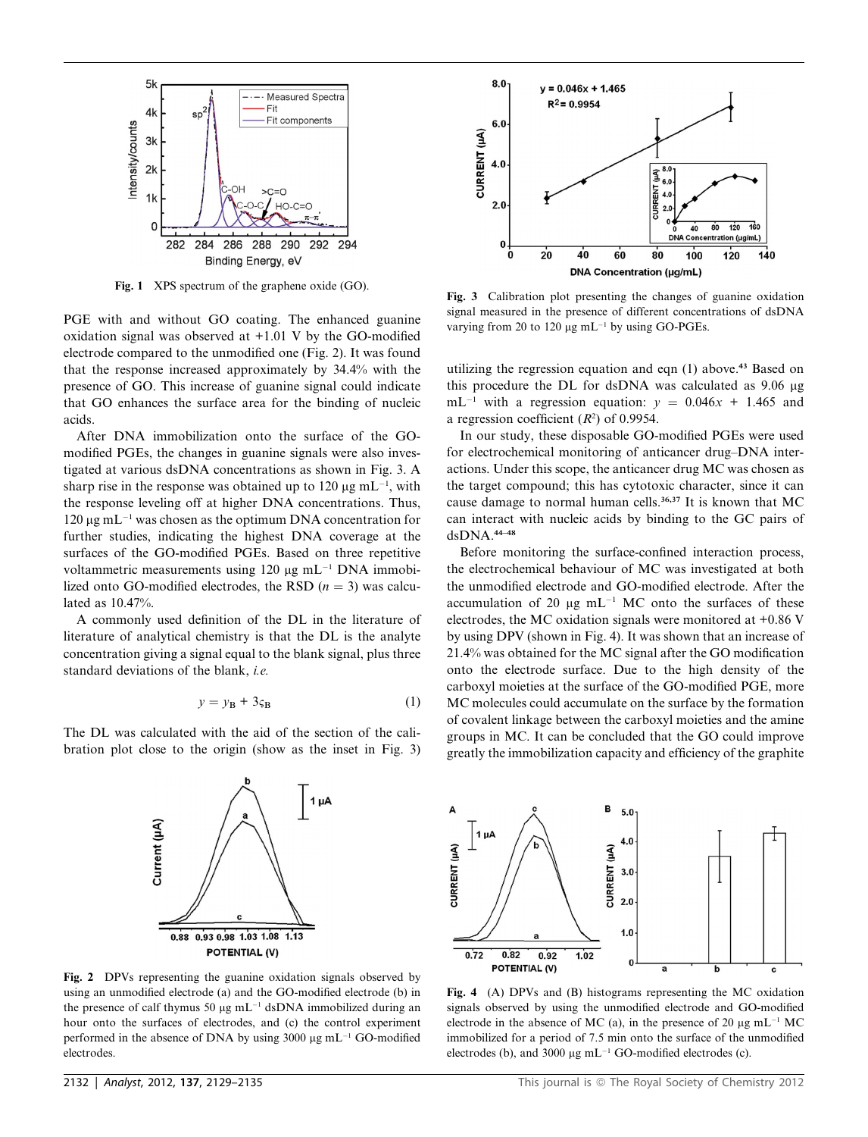

Fig. 1 XPS spectrum of the graphene oxide (GO).

PGE with and without GO coating. The enhanced guanine oxidation signal was observed at +1.01 V by the GO-modified electrode compared to the unmodified one (Fig. 2). It was found that the response increased approximately by 34.4% with the presence of GO. This increase of guanine signal could indicate that GO enhances the surface area for the binding of nucleic acids.

After DNA immobilization onto the surface of the GOmodified PGEs, the changes in guanine signals were also investigated at various dsDNA concentrations as shown in Fig. 3. A sharp rise in the response was obtained up to  $120 \mu g \text{ mL}^{-1}$ , with the response leveling off at higher DNA concentrations. Thus,  $120 \,\mu$ g mL<sup>-1</sup> was chosen as the optimum DNA concentration for further studies, indicating the highest DNA coverage at the surfaces of the GO-modified PGEs. Based on three repetitive voltammetric measurements using  $120 \mu g \text{ mL}^{-1}$  DNA immobilized onto GO-modified electrodes, the RSD  $(n = 3)$  was calculated as 10.47%.

A commonly used definition of the DL in the literature of literature of analytical chemistry is that the DL is the analyte concentration giving a signal equal to the blank signal, plus three standard deviations of the blank, i.e.

$$
y = y_{\mathbf{B}} + 3\varsigma_{\mathbf{B}}\tag{1}
$$

The DL was calculated with the aid of the section of the calibration plot close to the origin (show as the inset in Fig. 3)



Fig. 2 DPVs representing the guanine oxidation signals observed by using an unmodified electrode (a) and the GO-modified electrode (b) in the presence of calf thymus 50  $\mu$ g mL<sup>-1</sup> dsDNA immobilized during an hour onto the surfaces of electrodes, and (c) the control experiment performed in the absence of DNA by using  $3000 \mu g$  mL<sup>-1</sup> GO-modified electrodes.



Fig. 3 Calibration plot presenting the changes of guanine oxidation signal measured in the presence of different concentrations of dsDNA varying from 20 to 120  $\mu$ g mL<sup>-1</sup> by using GO-PGEs.

utilizing the regression equation and eqn  $(1)$  above.<sup>43</sup> Based on this procedure the DL for dsDNA was calculated as 9.06 mg  $mL^{-1}$  with a regression equation:  $v = 0.046x + 1.465$  and a regression coefficient  $(R^2)$  of 0.9954.

In our study, these disposable GO-modified PGEs were used for electrochemical monitoring of anticancer drug–DNA interactions. Under this scope, the anticancer drug MC was chosen as the target compound; this has cytotoxic character, since it can cause damage to normal human cells.<sup>36,37</sup> It is known that MC can interact with nucleic acids by binding to the GC pairs of  $d<sub>s</sub>DNA.<sup>44–48</sup>$ 

Before monitoring the surface-confined interaction process, the electrochemical behaviour of MC was investigated at both the unmodified electrode and GO-modified electrode. After the accumulation of 20  $\mu$ g mL<sup>-1</sup> MC onto the surfaces of these electrodes, the MC oxidation signals were monitored at +0.86 V by using DPV (shown in Fig. 4). It was shown that an increase of 21.4% was obtained for the MC signal after the GO modification onto the electrode surface. Due to the high density of the carboxyl moieties at the surface of the GO-modified PGE, more MC molecules could accumulate on the surface by the formation of covalent linkage between the carboxyl moieties and the amine groups in MC. It can be concluded that the GO could improve greatly the immobilization capacity and efficiency of the graphite



Fig. 4 (A) DPVs and (B) histograms representing the MC oxidation signals observed by using the unmodified electrode and GO-modified electrode in the absence of MC (a), in the presence of 20  $\mu$ g mL<sup>-1</sup> MC immobilized for a period of 7.5 min onto the surface of the unmodified electrodes (b), and 3000  $\mu$ g mL<sup>-1</sup> GO-modified electrodes (c).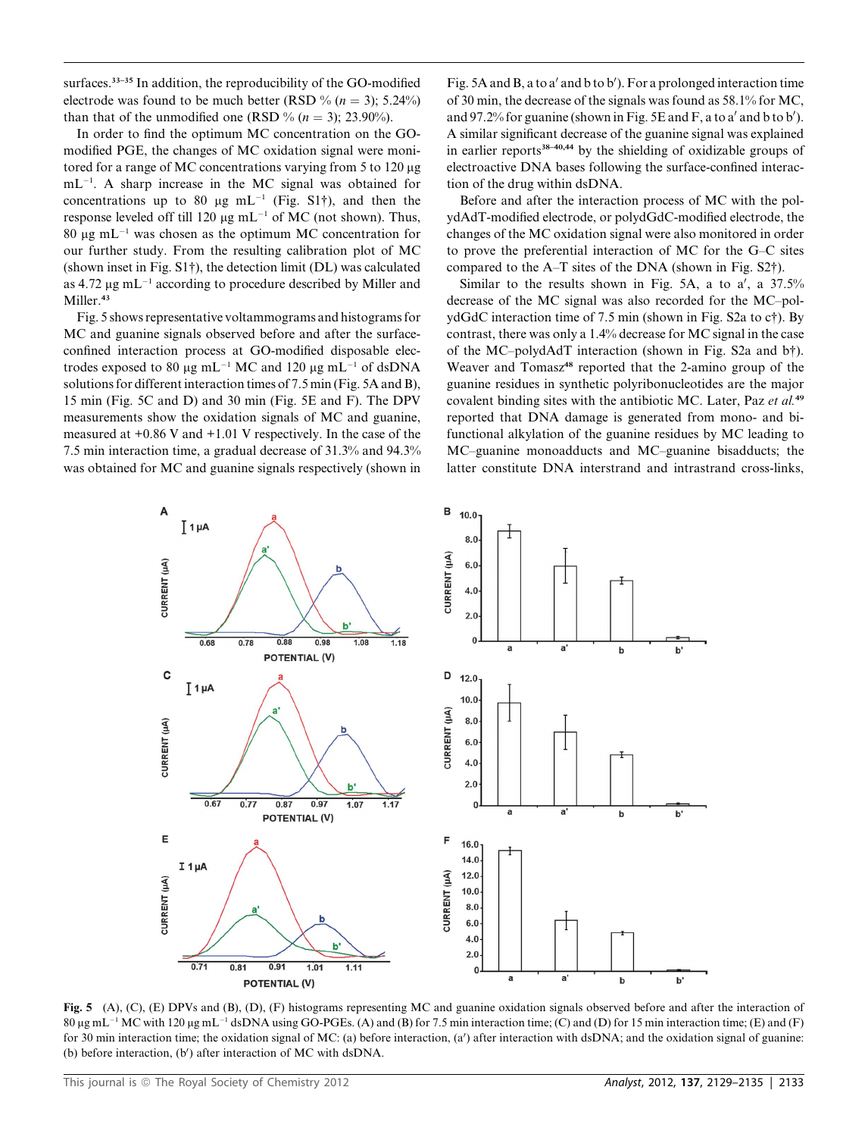surfaces.<sup>33–35</sup> In addition, the reproducibility of the GO-modified electrode was found to be much better (RSD %  $(n = 3)$ ; 5.24%) than that of the unmodified one (RSD %  $(n = 3)$ ; 23.90%).

In order to find the optimum MC concentration on the GOmodified PGE, the changes of MC oxidation signal were monitored for a range of MC concentrations varying from 5 to 120 µg  $mL^{-1}$ . A sharp increase in the MC signal was obtained for concentrations up to 80  $\mu$ g mL<sup>-1</sup> (Fig. S1<sup>†</sup>), and then the response leveled off till 120  $\mu$ g mL<sup>-1</sup> of MC (not shown). Thus, 80  $\mu$ g mL<sup>-1</sup> was chosen as the optimum MC concentration for our further study. From the resulting calibration plot of MC (shown inset in Fig. S1†), the detection limit (DL) was calculated as 4.72  $\mu$ g mL<sup>-1</sup> according to procedure described by Miller and Miller.<sup>43</sup>

Fig. 5 shows representative voltammograms and histograms for MC and guanine signals observed before and after the surfaceconfined interaction process at GO-modified disposable electrodes exposed to 80  $\mu$ g mL<sup>-1</sup> MC and 120  $\mu$ g mL<sup>-1</sup> of dsDNA solutions for different interaction times of 7.5 min (Fig. 5A and B), 15 min (Fig. 5C and D) and 30 min (Fig. 5E and F). The DPV measurements show the oxidation signals of MC and guanine, measured at +0.86 V and +1.01 V respectively. In the case of the 7.5 min interaction time, a gradual decrease of 31.3% and 94.3% was obtained for MC and guanine signals respectively (shown in

Fig. 5A and B, a to a' and b to b'). For a prolonged interaction time of 30 min, the decrease of the signals was found as 58.1% for MC, and 97.2% for guanine (shown in Fig. 5E and F, a to a' and b to b'). A similar significant decrease of the guanine signal was explained in earlier reports $38-40,44$  by the shielding of oxidizable groups of electroactive DNA bases following the surface-confined interaction of the drug within dsDNA.

Before and after the interaction process of MC with the polydAdT-modified electrode, or polydGdC-modified electrode, the changes of the MC oxidation signal were also monitored in order to prove the preferential interaction of MC for the G–C sites compared to the A–T sites of the DNA (shown in Fig. S2†).

Similar to the results shown in Fig. 5A, a to  $a'$ , a 37.5% decrease of the MC signal was also recorded for the MC–polydGdC interaction time of 7.5 min (shown in Fig. S2a to c†). By contrast, there was only a 1.4% decrease for MC signal in the case of the MC–polydAdT interaction (shown in Fig. S2a and b†). Weaver and Tomasz<sup>48</sup> reported that the 2-amino group of the guanine residues in synthetic polyribonucleotides are the major covalent binding sites with the antibiotic MC. Later, Paz et al.<sup>49</sup> reported that DNA damage is generated from mono- and bifunctional alkylation of the guanine residues by MC leading to MC–guanine monoadducts and MC–guanine bisadducts; the latter constitute DNA interstrand and intrastrand cross-links,



Fig. 5 (A), (C), (E) DPVs and (B), (D), (F) histograms representing MC and guanine oxidation signals observed before and after the interaction of  $80 \,\mu\text{g}\,\text{m}$ L<sup>-1</sup> MC with 120  $\mu\text{g}\,\text{m}$ L<sup>-1</sup> dsDNA using GO-PGEs. (A) and (B) for 7.5 min interaction time; (C) and (D) for 15 min interaction time; (E) and (F) for 30 min interaction time; the oxidation signal of MC: (a) before interaction, (a') after interaction with dsDNA; and the oxidation signal of guanine: (b) before interaction,  $(b')$  after interaction of MC with dsDNA.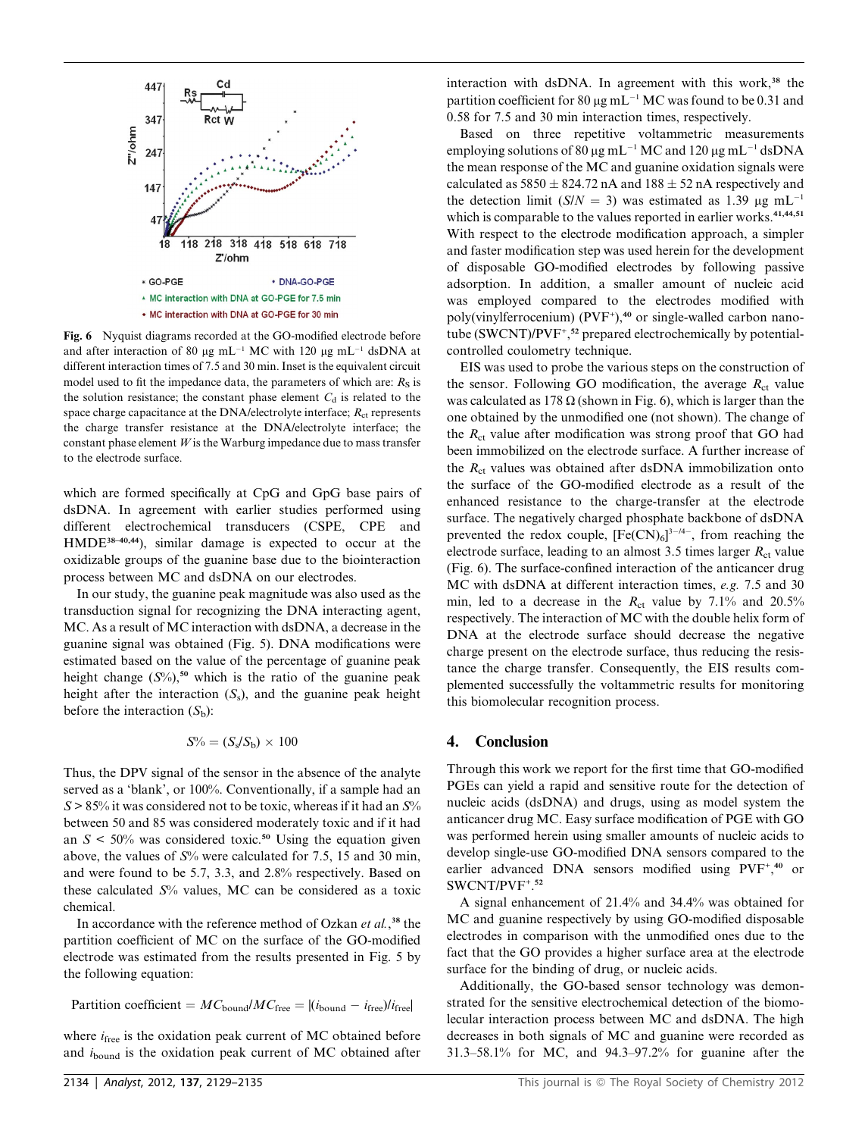

Fig. 6 Nyquist diagrams recorded at the GO-modified electrode before and after interaction of 80  $\mu$ g mL<sup>-1</sup> MC with 120  $\mu$ g mL<sup>-1</sup> dsDNA at different interaction times of 7.5 and 30 min. Inset is the equivalent circuit model used to fit the impedance data, the parameters of which are:  $R<sub>S</sub>$  is the solution resistance; the constant phase element  $C_d$  is related to the space charge capacitance at the DNA/electrolyte interface;  $R_{\text{ct}}$  represents the charge transfer resistance at the DNA/electrolyte interface; the constant phase element  $W$  is the Warburg impedance due to mass transfer to the electrode surface.

which are formed specifically at CpG and GpG base pairs of dsDNA. In agreement with earlier studies performed using different electrochemical transducers (CSPE, CPE and HMDE38–40,44), similar damage is expected to occur at the oxidizable groups of the guanine base due to the biointeraction process between MC and dsDNA on our electrodes.

In our study, the guanine peak magnitude was also used as the transduction signal for recognizing the DNA interacting agent, MC. As a result of MC interaction with dsDNA, a decrease in the guanine signal was obtained (Fig. 5). DNA modifications were estimated based on the value of the percentage of guanine peak height change  $(S\%)$ ,<sup>50</sup> which is the ratio of the guanine peak height after the interaction  $(S<sub>s</sub>)$ , and the guanine peak height before the interaction  $(S_b)$ :

$$
S\% = (S_s\!/S_b) \times 100
$$

Thus, the DPV signal of the sensor in the absence of the analyte served as a 'blank', or 100%. Conventionally, if a sample had an  $S > 85\%$  it was considered not to be toxic, whereas if it had an  $S\%$ between 50 and 85 was considered moderately toxic and if it had an  $S \le 50\%$  was considered toxic.<sup>50</sup> Using the equation given above, the values of  $S\%$  were calculated for 7.5, 15 and 30 min, and were found to be 5.7, 3.3, and 2.8% respectively. Based on these calculated  $S\%$  values, MC can be considered as a toxic chemical.

In accordance with the reference method of Ozkan et al.,<sup>38</sup> the partition coefficient of MC on the surface of the GO-modified electrode was estimated from the results presented in Fig. 5 by the following equation:

Partition coefficient =  $MC_{\text{bound}}/MC_{\text{free}} = |(i_{\text{bound}} - i_{\text{free}})/i_{\text{free}}|$ 

where  $i_{\text{free}}$  is the oxidation peak current of MC obtained before and  $i_{\text{bound}}$  is the oxidation peak current of MC obtained after

interaction with dsDNA. In agreement with this work,<sup>38</sup> the partition coefficient for 80  $\mu$ g mL<sup>-1</sup> MC was found to be 0.31 and 0.58 for 7.5 and 30 min interaction times, respectively.

Based on three repetitive voltammetric measurements employing solutions of 80  $\mu$ g mL<sup>-1</sup> MC and 120  $\mu$ g mL<sup>-1</sup> dsDNA the mean response of the MC and guanine oxidation signals were calculated as  $5850 \pm 824.72$  nA and  $188 \pm 52$  nA respectively and the detection limit  $(S/N = 3)$  was estimated as 1.39 ug mL<sup>-1</sup> which is comparable to the values reported in earlier works.<sup>41,44,51</sup> With respect to the electrode modification approach, a simpler and faster modification step was used herein for the development of disposable GO-modified electrodes by following passive adsorption. In addition, a smaller amount of nucleic acid was employed compared to the electrodes modified with poly(vinylferrocenium) (PVF<sup>+</sup>),<sup>40</sup> or single-walled carbon nanotube (SWCNT)/PVF+ , <sup>52</sup> prepared electrochemically by potentialcontrolled coulometry technique.

EIS was used to probe the various steps on the construction of the sensor. Following GO modification, the average  $R_{\rm ct}$  value was calculated as 178  $\Omega$  (shown in Fig. 6), which is larger than the one obtained by the unmodified one (not shown). The change of the  $R<sub>ct</sub>$  value after modification was strong proof that GO had been immobilized on the electrode surface. A further increase of the  $R_{ct}$  values was obtained after dsDNA immobilization onto the surface of the GO-modified electrode as a result of the enhanced resistance to the charge-transfer at the electrode surface. The negatively charged phosphate backbone of dsDNA prevented the redox couple,  $[Fe(CN)_6]^{3-4-}$ , from reaching the electrode surface, leading to an almost 3.5 times larger  $R_{\rm ct}$  value (Fig. 6). The surface-confined interaction of the anticancer drug MC with dsDNA at different interaction times, e.g. 7.5 and 30 min, led to a decrease in the  $R_{\text{ct}}$  value by 7.1% and 20.5% respectively. The interaction of MC with the double helix form of DNA at the electrode surface should decrease the negative charge present on the electrode surface, thus reducing the resistance the charge transfer. Consequently, the EIS results complemented successfully the voltammetric results for monitoring this biomolecular recognition process.

#### 4. Conclusion

Through this work we report for the first time that GO-modified PGEs can yield a rapid and sensitive route for the detection of nucleic acids (dsDNA) and drugs, using as model system the anticancer drug MC. Easy surface modification of PGE with GO was performed herein using smaller amounts of nucleic acids to develop single-use GO-modified DNA sensors compared to the earlier advanced DNA sensors modified using PVF<sup>+</sup>,<sup>40</sup> or SWCNT/PVF<sup>+</sup>.<sup>52</sup>

A signal enhancement of 21.4% and 34.4% was obtained for MC and guanine respectively by using GO-modified disposable electrodes in comparison with the unmodified ones due to the fact that the GO provides a higher surface area at the electrode surface for the binding of drug, or nucleic acids.

Additionally, the GO-based sensor technology was demonstrated for the sensitive electrochemical detection of the biomolecular interaction process between MC and dsDNA. The high decreases in both signals of MC and guanine were recorded as 31.3–58.1% for MC, and 94.3–97.2% for guanine after the